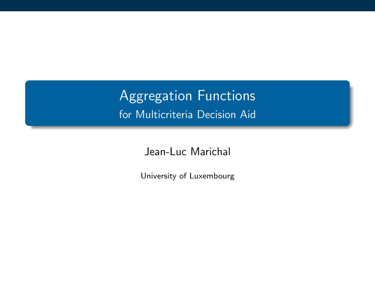Aggregation Functions for Multicriteria Decision Aid

Jean-Luc Marichal

University of Luxembourg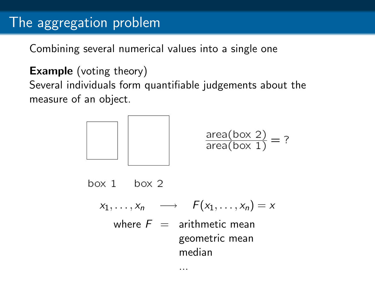## The aggregation problem

Combining several numerical values into a single one

**Example** (voting theory)

Several individuals form quantifiable judgements about the measure of an object.



$$
\frac{\text{area}(box 2)}{\text{area}(box 1)} = ?
$$

 $box 1$   $box 2$ 

 $x_1, \ldots, x_n \longrightarrow F(x_1, \ldots, x_n) = x$ where  $F =$  arithmetic mean geometric mean median

...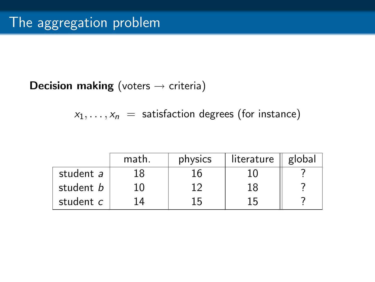### **Decision making** (voters  $\rightarrow$  criteria)

 $x_1, \ldots, x_n$  = satisfaction degrees (for instance)

|           | math. | physics | literature | global |
|-----------|-------|---------|------------|--------|
| student a | 18    |         |            |        |
| student b | 10    | ר 1     | 18         |        |
| student c |       | 15      | 15         |        |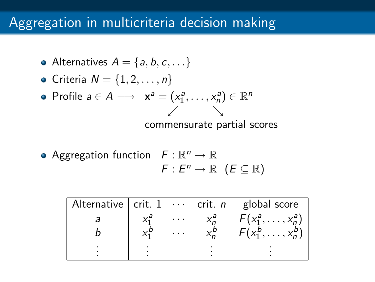## Aggregation in multicriteria decision making

- Alternatives  $A = \{a, b, c, \dots\}$
- Criteria  $N = \{1, 2, \ldots, n\}$
- Profile  $a \in A \longrightarrow x^a = (x_1^a, \dots, x_n^a) \in \mathbb{R}^n$  $\sqrt{2}$ commensurate partial scores
- Aggregation function  $F: \mathbb{R}^n \to \mathbb{R}$  $F: E^n \to \mathbb{R}$   $(E \subseteq \mathbb{R})$

| Alternative $\vert$ crit. $1 \cdots$ crit. n |  | global score           |
|----------------------------------------------|--|------------------------|
|                                              |  | $X_1^a, \ldots, X_n^a$ |
|                                              |  |                        |
|                                              |  |                        |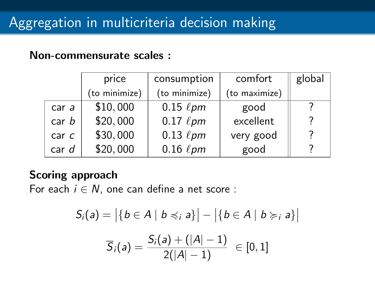#### Non-commensurate scales :

|                  | price         | consumption    | comfort       | global |
|------------------|---------------|----------------|---------------|--------|
|                  | (to minimize) | (to minimize)  | (to maximize) |        |
| car a            | \$10,000      | $0.15~\ell$ pm | good          |        |
| car b            | \$20,000      | $0.17~\ell$ pm | excellent     |        |
| car <sub>c</sub> | \$30,000      | $0.13~\ell$ pm | very good     |        |
| car d            | \$20,000      | $0.16~\ell$ pm | good          |        |

### Scoring approach

For each  $i \in N$ , one can define a net score :

$$
S_i(a) = |\{b \in A \mid b \preccurlyeq_i a\}| - |\{b \in A \mid b \succcurlyeq_i a\}|
$$

$$
\overline{S}_i(a) = \frac{S_i(a) + (|A| - 1)}{2(|A| - 1)} \in [0, 1]
$$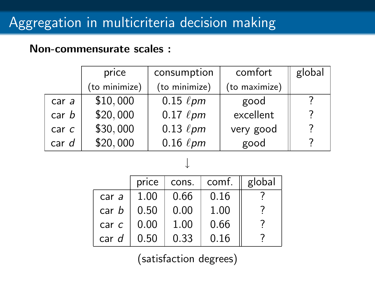#### Non-commensurate scales :

|                  | price         | consumption    | comfort       | global |
|------------------|---------------|----------------|---------------|--------|
|                  | (to minimize) | (to minimize)  | (to maximize) |        |
| car a            | \$10,000      | $0.15~\ell$ pm | good          |        |
| car <sub>b</sub> | \$20,000      | $0.17~\ell$ pm | excellent     |        |
| car <sub>c</sub> | \$30,000      | $0.13~\ell$ pm | very good     |        |
| car d            | \$20,000      | $0.16~\ell$ pm | good          |        |

## ↓ price  $\vert$  cons.  $\vert$  comf.  $\vert \vert$  global car a | 1.00 | 0.66 | 0.16 car  $b \mid 0.50 \mid 0.00 \mid 1.00 \mid$  ? car c  $\begin{array}{|c|c|c|c|c|c|} \hline \text{car } c & 0.00 & 1.00 & 0.66 & ? \\ \hline \text{car } d & 0.50 & 0.33 & 0.16 & ? \\ \hline \end{array}$ car  $d \mid 0.50 \mid 0.33 \mid 0.16$

(satisfaction degrees)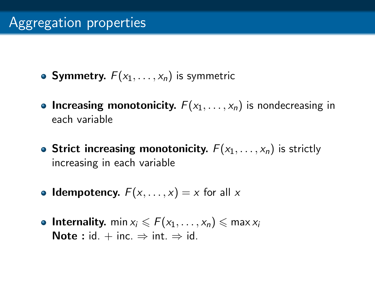- Symmetry.  $F(x_1, \ldots, x_n)$  is symmetric
- Increasing monotonicity.  $F(x_1, \ldots, x_n)$  is nondecreasing in each variable
- Strict increasing monotonicity.  $F(x_1, \ldots, x_n)$  is strictly increasing in each variable
- Idempotency.  $F(x, \ldots, x) = x$  for all x
- Internality. min  $x_i \leq F(x_1, \ldots, x_n) \leq \max x_i$ Note : id. + inc.  $\Rightarrow$  int.  $\Rightarrow$  id.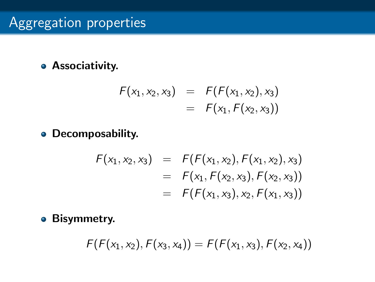### Associativity.

$$
F(x_1, x_2, x_3) = F(F(x_1, x_2), x_3)
$$
  
=  $F(x_1, F(x_2, x_3))$ 

Decomposability.

$$
F(x_1, x_2, x_3) = F(F(x_1, x_2), F(x_1, x_2), x_3)
$$
  
=  $F(x_1, F(x_2, x_3), F(x_2, x_3))$   
=  $F(F(x_1, x_3), x_2, F(x_1, x_3))$ 

**•** Bisymmetry.

$$
F(F(x_1,x_2),F(x_3,x_4))=F(F(x_1,x_3),F(x_2,x_4))
$$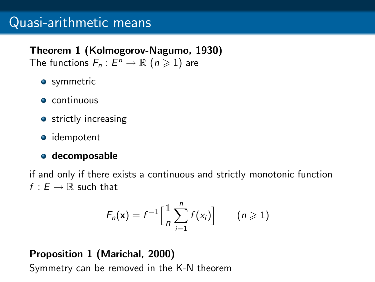#### Theorem 1 (Kolmogorov-Nagumo, 1930)

The functions  $F_n: E^n \to \mathbb{R}$   $(n \geqslant 1)$  are

- **o** symmetric
- **e** continuous
- **•** strictly increasing
- **o** idempotent

#### **o** decomposable

if and only if there exists a continuous and strictly monotonic function  $f : E \to \mathbb{R}$  such that

$$
F_n(\mathbf{x}) = f^{-1}\Big[\frac{1}{n}\sum_{i=1}^n f(x_i)\Big] \qquad (n \geqslant 1)
$$

Proposition 1 (Marichal, 2000) Symmetry can be removed in the K-N theorem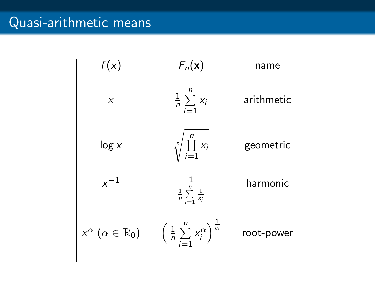| f(x)                                       | $F_n(\mathbf{x})$                                                      | name       |
|--------------------------------------------|------------------------------------------------------------------------|------------|
| X                                          | $rac{1}{n} \sum_{i=1}^{n} x_i$                                         | arithmetic |
| log x                                      | $\sqrt[n]{\prod_{i=1}^n x_i}$                                          | geometric  |
| $x^{-1}$                                   | $\frac{1}{\frac{1}{n}\sum_{i=1}^n \frac{1}{x_i}}$                      | harmonic   |
| $x^{\alpha}$ $(\alpha \in \mathbb{R}_{0})$ | $\left(\frac{1}{n}\sum_{i=1}^n x_i^{\alpha}\right)^{\frac{1}{\alpha}}$ | root-power |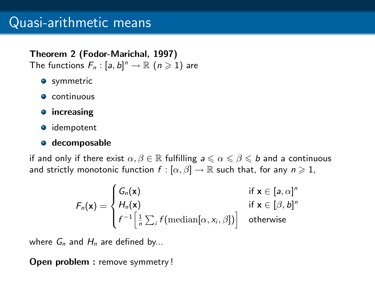#### Theorem 2 (Fodor-Marichal, 1997)

The functions  $F_n : [a, b]^n \to \mathbb{R}$   $(n \geq 1)$  are

- **•** symmetric
- **Continuous**
- **•** increasing
- **o** idempotent

#### **o** decomposable

if and only if there exist  $\alpha, \beta \in \mathbb{R}$  fulfilling  $a \leq \alpha \leq \beta \leq b$  and a continuous and strictly monotonic function  $f : [\alpha, \beta] \to \mathbb{R}$  such that, for any  $n \geq 1$ ,

$$
F_n(\mathbf{x}) = \begin{cases} G_n(\mathbf{x}) & \text{if } \mathbf{x} \in [a, \alpha]^n \\ H_n(\mathbf{x}) & \text{if } \mathbf{x} \in [\beta, b]^n \\ f^{-1} \Big[ \frac{1}{n} \sum_i f(\text{median}[\alpha, x_i, \beta]) \Big] & \text{otherwise} \end{cases}
$$

where  $G_n$  and  $H_n$  are defined by...

Open problem : remove symmetry !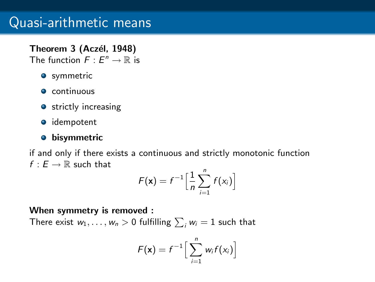#### Theorem 3 (Aczél, 1948)

The function  $F: E^n \to \mathbb{R}$  is

- **o** symmetric
- **e** continuous
- **o** strictly increasing
- **o** idempotent

#### **·** bisymmetric

if and only if there exists a continuous and strictly monotonic function  $f : F \rightarrow \mathbb{R}$  such that

$$
F(\mathbf{x}) = f^{-1} \Big[ \frac{1}{n} \sum_{i=1}^{n} f(x_i) \Big]
$$

#### When symmetry is removed :

There exist  $w_1, \ldots, w_n > 0$  fulfilling  $\sum_i w_i = 1$  such that

$$
F(\mathbf{x}) = f^{-1} \Big[ \sum_{i=1}^n w_i f(x_i) \Big]
$$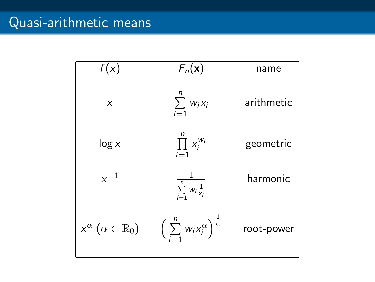| f(x)                                       | $F_n(\mathbf{x})$                                               | name       |
|--------------------------------------------|-----------------------------------------------------------------|------------|
| X                                          | $\sum_{i=1}^{n} w_i x_i$                                        | arithmetic |
| log x                                      | $\prod_{i=1}^n x_i^{w_i}$                                       | geometric  |
| $x^{-1}$                                   | $\frac{1}{\sum_{i=1}^n w_i \frac{1}{x_i}}$                      | harmonic   |
| $x^{\alpha}$ $(\alpha \in \mathbb{R}_{0})$ | $\left(\sum_{i=1}^n W_i X_i^{\alpha}\right)^{\frac{1}{\alpha}}$ | root-power |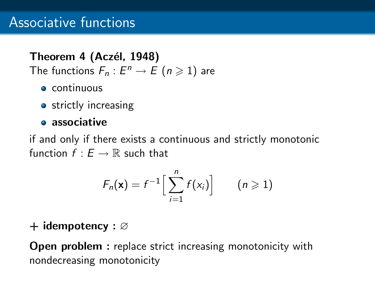### Theorem 4 (Aczél, 1948)

The functions  $F_n: E^n \to E \, (n \geq 1)$  are

- **•** continuous
- **•** strictly increasing

### **•** associative

if and only if there exists a continuous and strictly monotonic function  $f : E \to \mathbb{R}$  such that

$$
F_n(\mathbf{x}) = f^{-1}\Big[\sum_{i=1}^n f(x_i)\Big] \qquad (n \geqslant 1)
$$

#### + idempotency : ∅

Open problem : replace strict increasing monotonicity with nondecreasing monotonicity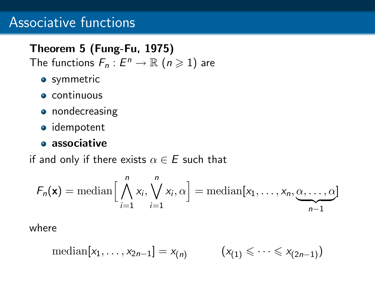## Associative functions

## Theorem 5 (Fung-Fu, 1975)

The functions  $F_n: E^n \to \mathbb{R}$   $(n \geq 1)$  are

- **•** symmetric
- **•** continuous
- **•** nondecreasing
- **·** idempotent

#### **associative**

if and only if there exists  $\alpha \in E$  such that

$$
F_n(\mathbf{x}) = \text{median}\Big[\bigwedge_{i=1}^n x_i, \bigvee_{i=1}^n x_i, \alpha\Big] = \text{median}[x_1, \dots, x_n, \underbrace{\alpha, \dots, \alpha}_{n-1}]
$$

where

$$
\mathrm{median}[x_1,\ldots,x_{2n-1}]=x_{(n)}\qquad (x_{(1)}\leqslant\cdots\leqslant x_{(2n-1)})
$$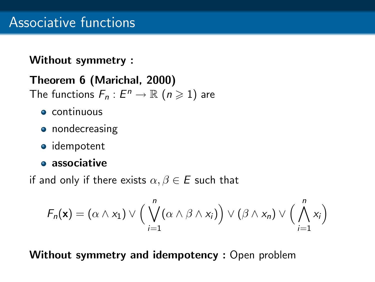### Without symmetry :

## Theorem 6 (Marichal, 2000)

The functions  $F_n: E^n \to \mathbb{R}$   $(n \geq 1)$  are

- continuous
- nondecreasing
- idempotent
- **a** associative

if and only if there exists  $\alpha, \beta \in E$  such that

$$
F_n(\mathbf{x}) = (\alpha \wedge x_1) \vee \Big(\bigvee_{i=1}^n (\alpha \wedge \beta \wedge x_i)\Big) \vee (\beta \wedge x_n) \vee \Big(\bigwedge_{i=1}^n x_i\Big)
$$

Without symmetry and idempotency : Open problem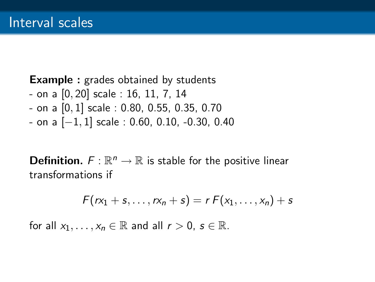#### **Example :** grades obtained by students

- on a [0, 20] scale : 16, 11, 7, 14
- on a [0, 1] scale : 0.80, 0.55, 0.35, 0.70
- on a [−1, 1] scale : 0.60, 0.10, -0.30, 0.40

**Definition.**  $F: \mathbb{R}^n \to \mathbb{R}$  is stable for the positive linear transformations if

$$
F(rx_1+s,\ldots,rx_n+s)=r F(x_1,\ldots,x_n)+s
$$

for all  $x_1, \ldots, x_n \in \mathbb{R}$  and all  $r > 0$ ,  $s \in \mathbb{R}$ .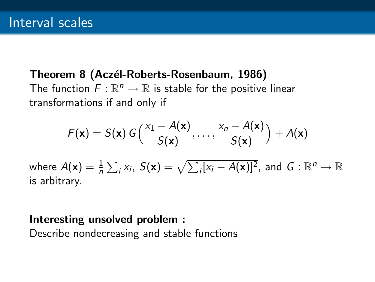#### Theorem 8 (Aczél-Roberts-Rosenbaum, 1986)

The function  $F: \mathbb{R}^n \to \mathbb{R}$  is stable for the positive linear transformations if and only if

$$
F(\mathbf{x}) = S(\mathbf{x}) G\left(\frac{x_1 - A(\mathbf{x})}{S(\mathbf{x})}, \dots, \frac{x_n - A(\mathbf{x})}{S(\mathbf{x})}\right) + A(\mathbf{x})
$$

where  $A(\mathsf{x}) = \frac{1}{n} \sum_i x_i$ ,  $S(\mathsf{x}) = \sqrt{\sum_i [x_i - A(\mathsf{x})]^2}$ , and  $G: \mathbb{R}^n \to \mathbb{R}$ is arbitrary.

#### Interesting unsolved problem :

Describe nondecreasing and stable functions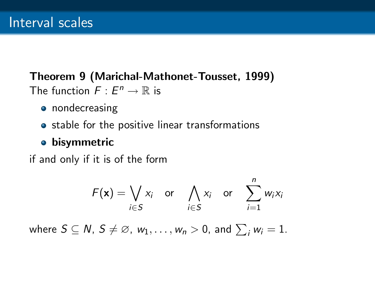### Theorem 9 (Marichal-Mathonet-Tousset, 1999) The function  $F: E^n \to \mathbb{R}$  is

- nondecreasing
- stable for the positive linear transformations

### **•** bisymmetric

if and only if it is of the form

$$
F(\mathbf{x}) = \bigvee_{i \in S} x_i \quad \text{or} \quad \bigwedge_{i \in S} x_i \quad \text{or} \quad \sum_{i=1}^n w_i x_i
$$

where  $S \subseteq N$ ,  $S \neq \varnothing$ ,  $w_1, \ldots, w_n > 0$ , and  $\sum_i w_i = 1$ .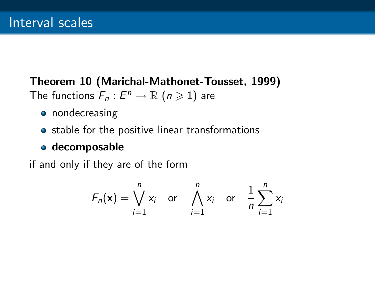### Theorem 10 (Marichal-Mathonet-Tousset, 1999) The functions  $F_n: E^n \to \mathbb{R}$   $(n \geq 1)$  are

- **•** nondecreasing
- stable for the positive linear transformations

### decomposable

if and only if they are of the form

$$
F_n(\mathbf{x}) = \bigvee_{i=1}^n x_i \quad \text{or} \quad \bigwedge_{i=1}^n x_i \quad \text{or} \quad \frac{1}{n} \sum_{i=1}^n x_i
$$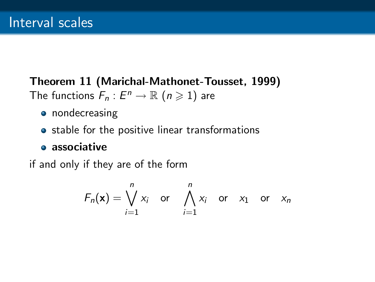### Theorem 11 (Marichal-Mathonet-Tousset, 1999) The functions  $F_n: E^n \to \mathbb{R}$   $(n \geq 1)$  are

- nondecreasing
- stable for the positive linear transformations

#### **associative**

if and only if they are of the form

$$
F_n(\mathbf{x}) = \bigvee_{i=1}^n x_i \quad \text{or} \quad \bigwedge_{i=1}^n x_i \quad \text{or} \quad x_1 \quad \text{or} \quad x_n
$$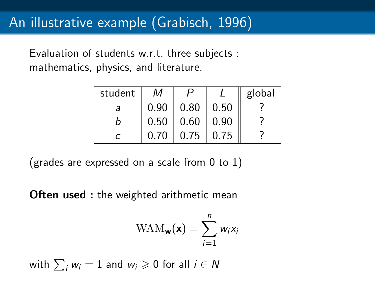Evaluation of students w.r.t. three subjects : mathematics, physics, and literature.

| student | М    |      |      | global |
|---------|------|------|------|--------|
| а       | 0.90 | 0.80 | 0.50 |        |
| n       | 0.50 | 0.60 | 0.90 |        |
|         | 0.70 | 0.75 | 0.75 |        |

(grades are expressed on a scale from  $0$  to  $1$ )

**Often used :** the weighted arithmetic mean

$$
\text{WAM}_{\mathbf{w}}(\mathbf{x}) = \sum_{i=1}^{n} w_i x_i
$$

with 
$$
\sum_i w_i = 1
$$
 and  $w_i \geq 0$  for all  $i \in N$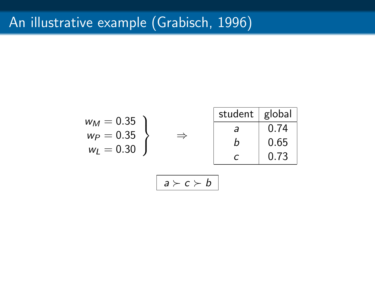# An illustrative example (Grabisch, 1996)

$$
w_M = 0.35
$$
\n
$$
w_P = 0.35
$$
\n
$$
w_L = 0.30
$$
\n
$$
a \rightarrow c \rightarrow b
$$
\n
$$
a \rightarrow c \rightarrow b
$$
\n
$$
a \rightarrow c \rightarrow b
$$
\n
$$
a \rightarrow c \rightarrow b
$$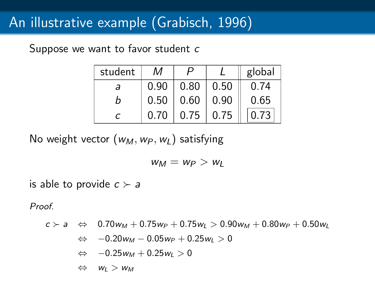Suppose we want to favor student c

| student | м    |      |      | global |
|---------|------|------|------|--------|
| а       | 0.90 | 0.80 | 0.50 | 0.74   |
| n       | 0.50 | 0.60 | 0.90 | 0.65   |
|         | 0.70 | 0.75 | 0.75 | በ 73   |

No weight vector  $(w_M, w_P, w_I)$  satisfying

$$
w_M = w_P > w_L
$$

is able to provide  $c \succ a$ 

Proof.

$$
c \succ a \Leftrightarrow 0.70w_M + 0.75w_P + 0.75w_L > 0.90w_M + 0.80w_P + 0.50w_L
$$

$$
\Leftrightarrow -0.20w_M - 0.05w_P + 0.25w_L > 0
$$

$$
\Leftrightarrow \quad -0.25w_M+0.25w_L>0
$$

 $\Leftrightarrow$   $W_L > W_M$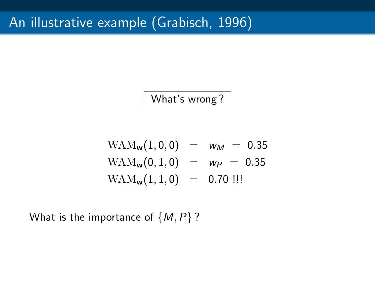What's wrong ?

$$
WAM_w(1,0,0) = w_M = 0.35
$$
  

$$
WAM_w(0,1,0) = w_P = 0.35
$$
  

$$
WAM_w(1,1,0) = 0.70
$$
 *!!*

What is the importance of  $\{M, P\}$ ?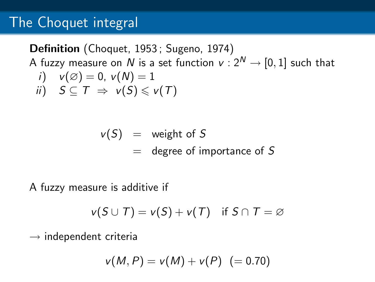## The Choquet integral

Definition (Choquet, 1953 ; Sugeno, 1974) A fuzzy measure on N is a set function  $v: 2^N \rightarrow [0, 1]$  such that i)  $v(\emptyset) = 0$ ,  $v(N) = 1$ ii)  $S \subset T \Rightarrow v(S) \leq v(T)$ 

$$
v(S) = weight of S
$$
  
= degree of importance of S

A fuzzy measure is additive if

$$
v(S \cup T) = v(S) + v(T) \quad \text{if } S \cap T = \varnothing
$$

 $\rightarrow$  independent criteria

$$
v(M, P) = v(M) + v(P) \ \ (= 0.70)
$$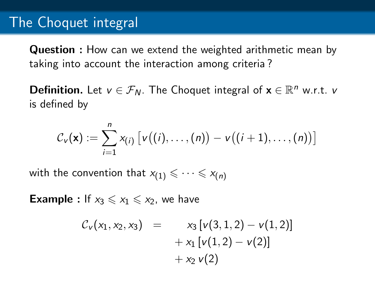## The Choquet integral

Question : How can we extend the weighted arithmetic mean by taking into account the interaction among criteria ?

**Definition.** Let  $v \in \mathcal{F}_N$ . The Choquet integral of  $\mathbf{x} \in \mathbb{R}^n$  w.r.t.  $v$ is defined by

$$
C_{\nu}(\mathbf{x}) := \sum_{i=1}^n x_{(i)} \left[ \nu((i), \ldots, (n)) - \nu((i+1), \ldots, (n)) \right]
$$

with the convention that  $x_{(1)} \leq \cdots \leq x_{(n)}$ 

**Example :** If  $x_3 \leq x_1 \leq x_2$ , we have

$$
C_{\nu}(x_1, x_2, x_3) = x_3 [\nu(3, 1, 2) - \nu(1, 2)]
$$
  
+ x<sub>1</sub> [\nu(1, 2) - \nu(2)]  
+ x<sub>2</sub> \nu(2)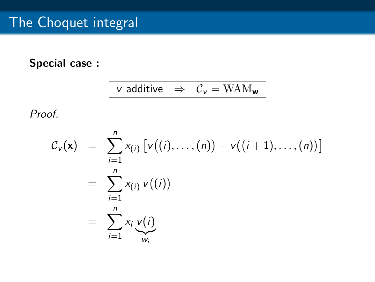### Special case :

$$
v \text{ additive } \Rightarrow \mathcal{C}_v = \mathrm{WAM}_{\mathbf{w}}
$$

Proof.

$$
\mathcal{C}_{\mathbf{v}}(\mathbf{x}) = \sum_{i=1}^{n} x_{(i)} \left[ \nu((i), \ldots, (n)) - \nu((i+1), \ldots, (n)) \right]
$$
  
= 
$$
\sum_{i=1}^{n} x_{(i)} \nu((i))
$$
  
= 
$$
\sum_{i=1}^{n} x_{i} \nu(i)
$$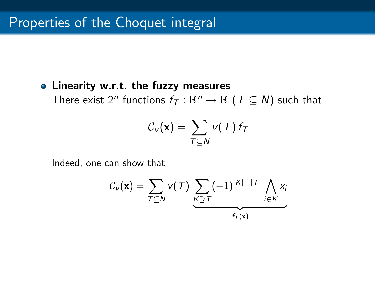#### • Linearity w.r.t. the fuzzy measures

There exist  $2^n$  functions  $f_{\mathcal{T}}: \mathbb{R}^n \to \mathbb{R}$   $(\mathcal{T} \subseteq N)$  such that

$$
\mathcal{C}_{\mathsf{v}}(\mathbf{x}) = \sum_{\mathcal{T} \subseteq \mathcal{N}} \mathsf{v}(\mathcal{T}) \, f_{\mathcal{T}}
$$

Indeed, one can show that

$$
C_{\nu}(\mathbf{x}) = \sum_{T \subseteq N} \nu(T) \underbrace{\sum_{K \supseteq T} (-1)^{|K| - |T|} \bigwedge_{i \in K} x_i}_{f_T(\mathbf{x})}
$$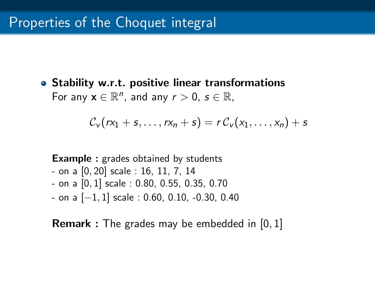Stability w.r.t. positive linear transformations For any  $\mathbf{x} \in \mathbb{R}^n$ , and any  $r > 0$ ,  $s \in \mathbb{R}$ ,

$$
\mathcal{C}_{\nu}(rx_1+s,\ldots,rx_n+s)=r\,\mathcal{C}_{\nu}(x_1,\ldots,x_n)+s
$$

```
Example : grades obtained by students
- on a [0, 20] scale : 16, 11, 7, 14
- on a [0, 1] scale : 0.80, 0.55, 0.35, 0.70
- on a [−1, 1] scale : 0.60, 0.10, -0.30, 0.40
```
Remark : The grades may be embedded in [0, 1]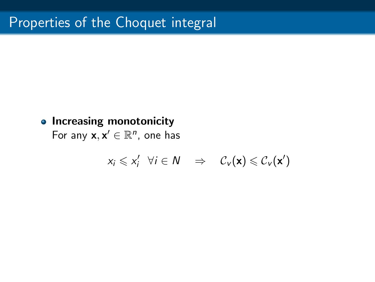### • Increasing monotonicity

For any  $x, x' \in \mathbb{R}^n$ , one has

$$
x_i \leqslant x'_i \quad \forall i \in \mathcal{N} \quad \Rightarrow \quad \mathcal{C}_{\nu}(\mathbf{x}) \leqslant \mathcal{C}_{\nu}(\mathbf{x}')
$$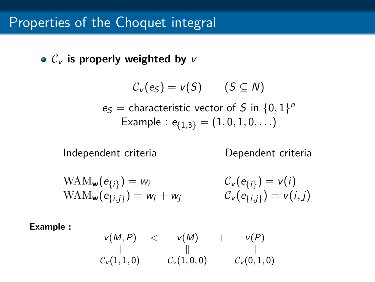$\bullet$  C<sub>v</sub> is properly weighted by v

$$
\mathcal{C}_{\mathsf{v}}(e_S) = \mathsf{v}(S) \qquad (S \subseteq \mathsf{N})
$$
\n
$$
e_S = \text{characteristic vector of } S \text{ in } \{0, 1\}^n
$$
\nExample :  $e_{\{1,3\}} = (1, 0, 1, 0, \ldots)$ 

Independent criteria Dependent criteria

$$
\begin{aligned} \text{WAM}_{\mathbf{w}}(e_{\{i\}}) &= w_i & \mathcal{C}_{\mathbf{v}}(e_{\{i\}}) &= \mathbf{v}(i) \\ \text{WAM}_{\mathbf{w}}(e_{\{i,j\}}) &= w_i + w_j & \mathcal{C}_{\mathbf{v}}(e_{\{i,j\}}) &= \mathbf{v}(i,j) \end{aligned}
$$

Example :

$$
\begin{array}{ccc}\n\mathsf{v}(M,P) & < & \mathsf{v}(M) & + & \mathsf{v}(P) \\
\parallel & & \parallel & & \parallel \\
\mathsf{C}_{\mathsf{v}}(1,1,0) & & \mathsf{C}_{\mathsf{v}}(1,0,0) & & \mathsf{C}_{\mathsf{v}}(0,1,0)\n\end{array}
$$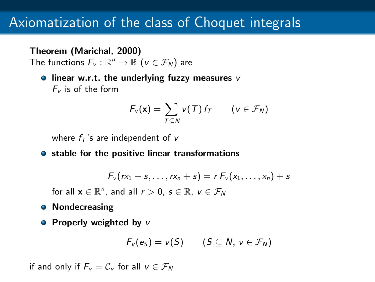## Axiomatization of the class of Choquet integrals

#### Theorem (Marichal, 2000)

The functions  $F_v : \mathbb{R}^n \to \mathbb{R}$   $(v \in \mathcal{F}_N)$  are

 $\bullet$  linear w.r.t. the underlying fuzzy measures v  $F_v$  is of the form

$$
F_{\nu}(\mathbf{x}) = \sum_{T \subseteq N} \nu(T) f_T \qquad (\nu \in \mathcal{F}_N)
$$

where  $f_T$ 's are independent of v

• stable for the positive linear transformations

$$
F_v(rx_1+s,\ldots,rx_n+s)=r F_v(x_1,\ldots,x_n)+s
$$

for all  $\mathbf{x} \in \mathbb{R}^n$ , and all  $r > 0$ ,  $s \in \mathbb{R}$ ,  $v \in \mathcal{F}_N$ 

- **•** Nondecreasing
- Properly weighted by  $v$

$$
F_v(e_S) = v(S) \qquad (S \subseteq N, v \in \mathcal{F}_N)
$$

if and only if  $F_v = C_v$  for all  $v \in \mathcal{F}_N$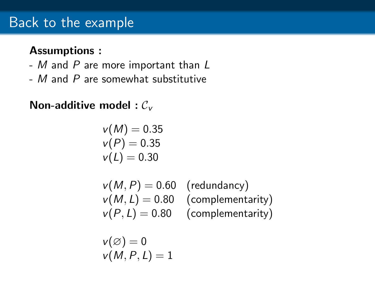## Back to the example

#### Assumptions :

- M and P are more important than L
- M and P are somewhat substitutive

### Non-additive model :  $C_{\nu}$

$$
\begin{array}{c}\n v(M) = 0.35 \\
 v(P) = 0.35 \\
 v(L) = 0.30\n\end{array}
$$

 $v(M, P) = 0.60$  (redundancy)  $v(M, L) = 0.80$  (complementarity)  $v(P, L) = 0.80$  (complementarity)

$$
v(\varnothing)=0\\v(M,P,L)=1
$$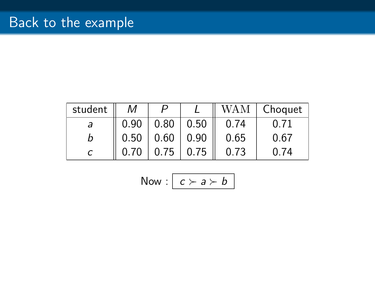| student | М    |      |      | WAM  | Choquet |
|---------|------|------|------|------|---------|
| a       | 0.90 | 0.80 | 0.50 | 0.74 | 0.71    |
|         | 0.50 | 0.60 | 0.90 | 0.65 | 0.67    |
|         | 0.70 | 0.75 | 0.75 | 0.73 | በ 74    |

Now: 
$$
c > a > b
$$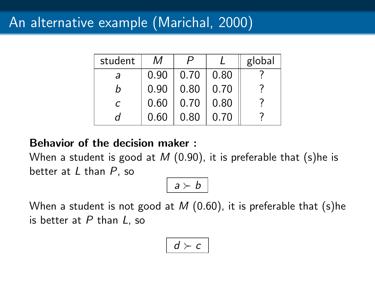## An alternative example (Marichal, 2000)

| student    | М    |      |      | global |
|------------|------|------|------|--------|
| а          | 0.90 | 0.70 | 0.80 |        |
| n          | 0.90 | 0.80 | 0.70 |        |
| $\epsilon$ | 0.60 | 0.70 | 0.80 |        |
| Π          | 0.60 | 0.80 | 0.70 |        |

#### Behavior of the decision maker :

When a student is good at  $M$  (0.90), it is preferable that (s)he is better at  $L$  than  $P$ , so

$$
a \succ b
$$

When a student is not good at  $M$  (0.60), it is preferable that (s)he is better at  $P$  than  $L$ , so

$$
d \succ c
$$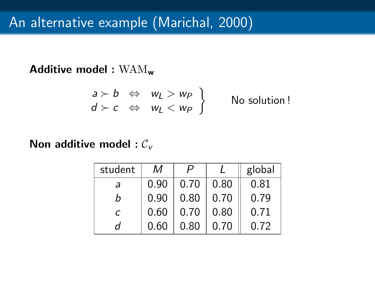### Additive model : WAM<sup>w</sup>

$$
\begin{array}{ccc} a \succ b & \Leftrightarrow & w_L > w_P \\ d \succ c & \Leftrightarrow & w_L < w_P \end{array}
$$
 No solution!

#### Non additive model :  $C_v$

| student | М    |      |      | global |
|---------|------|------|------|--------|
| а       | 0.90 | 0.70 | 0.80 | 0.81   |
| h       | 0.90 | 0.80 | 0.70 | 0.79   |
| C       | 0.60 | 0.70 | 0.80 | 0.71   |
| d       | 0.60 | 0.80 | 0.70 | 0.72   |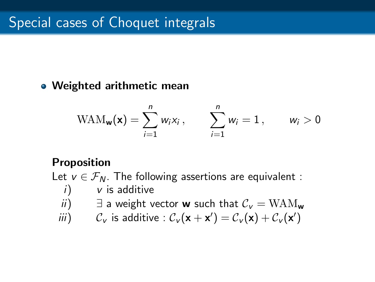#### • Weighted arithmetic mean

$$
\text{WAM}_{\mathbf{w}}(\mathbf{x}) = \sum_{i=1}^{n} w_i x_i, \qquad \sum_{i=1}^{n} w_i = 1, \qquad w_i > 0
$$

#### Proposition

Let  $v \in \mathcal{F}_N$ . The following assertions are equivalent :

$$
i) \qquad \text{if additive}
$$

- ii)  $\exists$  a weight vector **w** such that  $C_v = WAM_w$
- *iii*)  $C_v$  is additive :  $C_v(\mathbf{x} + \mathbf{x}') = C_v(\mathbf{x}) + C_v(\mathbf{x}')$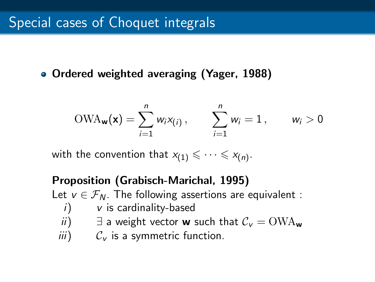Ordered weighted averaging (Yager, 1988)

$$
OWA_{\mathbf{w}}(\mathbf{x}) = \sum_{i=1}^{n} w_i x_{(i)}, \qquad \sum_{i=1}^{n} w_i = 1, \qquad w_i > 0
$$

with the convention that  $x_{(1)} \leqslant \cdots \leqslant x_{(n)}$ .

### Proposition (Grabisch-Marichal, 1995) Let  $v \in \mathcal{F}_N$ . The following assertions are equivalent :  $i)$  v is cardinality-based ii)  $\exists$  a weight vector **w** such that  $C_v = \text{OWA}_{w}$  $iii)$   $C_v$  is a symmetric function.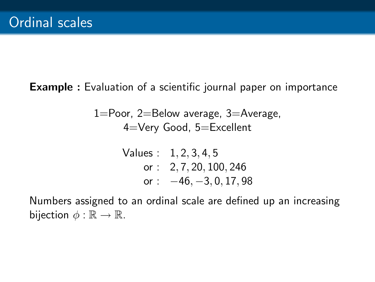Example : Evaluation of a scientific journal paper on importance

1=Poor, 2=Below average, 3=Average, 4=Very Good, 5=Excellent

Values: 
$$
1, 2, 3, 4, 5
$$
  
or:  $2, 7, 20, 100, 246$   
or:  $-46, -3, 0, 17, 98$ 

Numbers assigned to an ordinal scale are defined up an increasing bijection  $\phi : \mathbb{R} \to \mathbb{R}$ .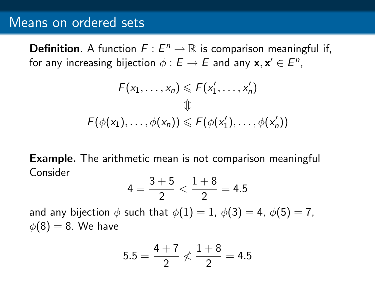### Means on ordered sets

**Definition.** A function  $F: E^n \to \mathbb{R}$  is comparison meaningful if, for any increasing bijection  $\phi: E \to E$  and any  $\mathsf{x}, \mathsf{x}' \in E^n,$ 

$$
F(x_1, \ldots, x_n) \leq F(x'_1, \ldots, x'_n)
$$
  

$$
\updownarrow
$$
  

$$
F(\phi(x_1), \ldots, \phi(x_n)) \leq F(\phi(x'_1), \ldots, \phi(x'_n))
$$

**Example.** The arithmetic mean is not comparison meaningful Consider

$$
4=\frac{3+5}{2}<\frac{1+8}{2}=4.5
$$

and any bijection  $\phi$  such that  $\phi(1) = 1$ ,  $\phi(3) = 4$ ,  $\phi(5) = 7$ ,  $\phi(8) = 8$ . We have

$$
5.5 = \frac{4+7}{2} \nless \frac{1+8}{2} = 4.5
$$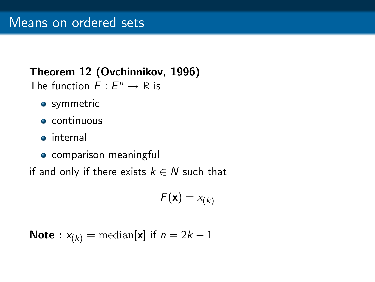# Theorem 12 (Ovchinnikov, 1996)

The function  $F: E^n \to \mathbb{R}$  is

- **•** symmetric
- **e** continuous
- **o** internal
- **•** comparison meaningful

if and only if there exists  $k \in N$  such that

$$
F(\mathbf{x})=x_{(k)}
$$

Note: 
$$
x_{(k)} = \text{median}[\mathbf{x}]
$$
 if  $n = 2k - 1$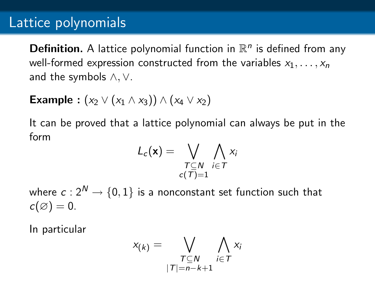## Lattice polynomials

**Definition.** A lattice polynomial function in  $\mathbb{R}^n$  is defined from any well-formed expression constructed from the variables  $x_1, \ldots, x_n$ and the symbols ∧,∨.

**Example** : 
$$
(x_2 \vee (x_1 \wedge x_3)) \wedge (x_4 \vee x_2)
$$

It can be proved that a lattice polynomial can always be put in the form

$$
L_c(\mathbf{x}) = \bigvee_{\substack{T \subseteq N \\ c(T) = 1}} \bigwedge_{i \in T} x_i
$$

where  $c: 2^N \rightarrow \{0,1\}$  is a nonconstant set function such that  $c(\emptyset) = 0.$ 

In particular

$$
x_{(k)} = \bigvee_{\substack{T \subseteq N \\ |T| = n-k+1}} \bigwedge_{i \in T} x_i
$$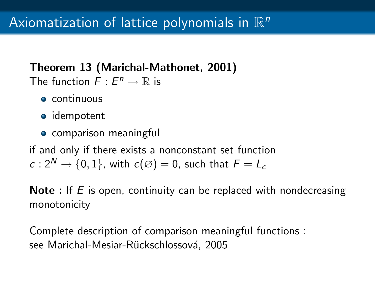### Theorem 13 (Marichal-Mathonet, 2001) The function  $F: E^n \to \mathbb{R}$  is

- **e** continuous
- idempotent
- **•** comparison meaningful

if and only if there exists a nonconstant set function  $c: 2^N \rightarrow \{0, 1\}$ , with  $c(\emptyset) = 0$ , such that  $F = L_c$ 

**Note** : If  $E$  is open, continuity can be replaced with nondecreasing monotonicity

Complete description of comparison meaningful functions : see Marichal-Mesiar-Rückschlossová, 2005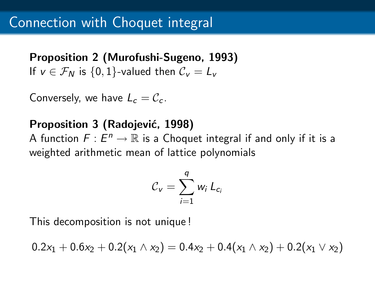Proposition 2 (Murofushi-Sugeno, 1993) If  $v \in \mathcal{F}_N$  is  $\{0,1\}$ -valued then  $\mathcal{C}_v = L_v$ 

Conversely, we have  $L_c = C_c$ .

### Proposition 3 (Radojević, 1998)

A function  $F: E^n \to \mathbb{R}$  is a Choquet integral if and only if it is a weighted arithmetic mean of lattice polynomials

$$
C_v = \sum_{i=1}^q w_i L_{c_i}
$$

This decomposition is not unique !

 $0.2x_1 + 0.6x_2 + 0.2(x_1 \wedge x_2) = 0.4x_2 + 0.4(x_1 \wedge x_2) + 0.2(x_1 \vee x_2)$